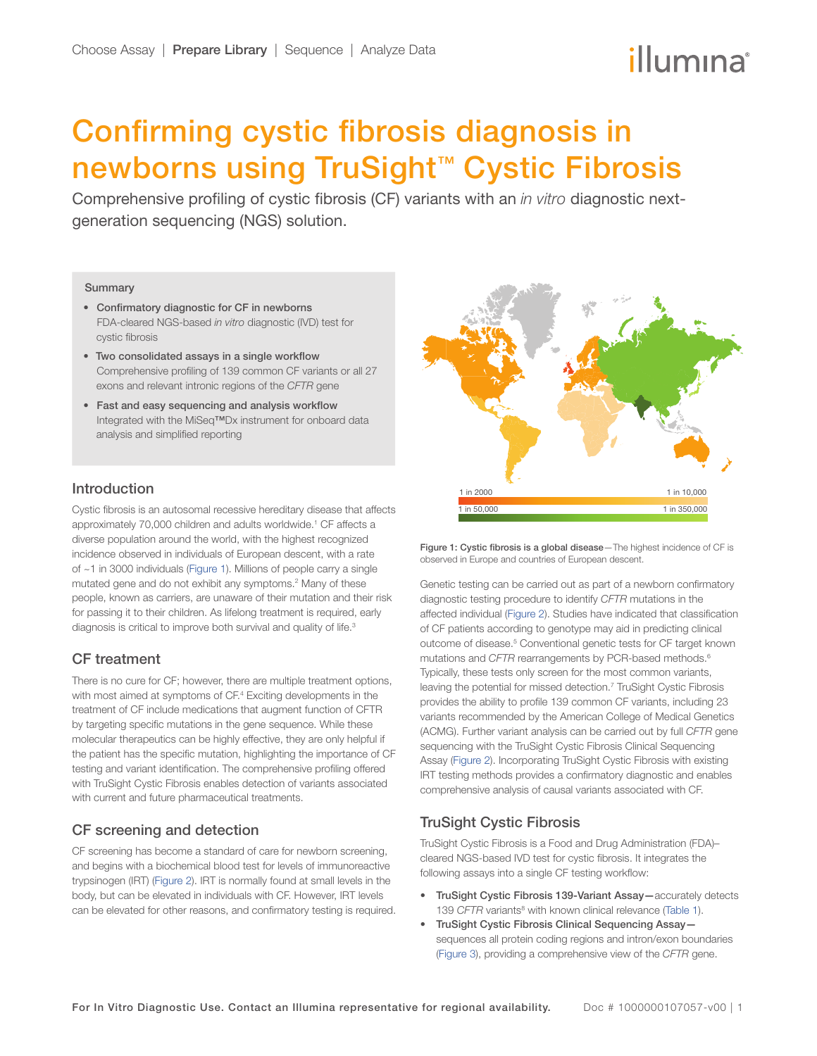# illumına

## Confirming cystic fibrosis diagnosis in newborns using TruSight™ Cystic Fibrosis

Comprehensive profiling of cystic fibrosis (CF) variants with an *in vitro* diagnostic nextgeneration sequencing (NGS) solution.

#### **Summary**

- Confirmatory diagnostic for CF in newborns FDA-cleared NGS-based *in vitro* diagnostic (IVD) test for cystic fibrosis
- Two consolidated assays in a single workflow Comprehensive profiling of 139 common CF variants or all 27 exons and relevant intronic regions of the *CFTR* gene
- Fast and easy sequencing and analysis workflow Integrated with the MiSeq™Dx instrument for onboard data analysis and simplified reporting

## Introduction

Cystic fibrosis is an autosomal recessive hereditary disease that affects approximately 70,000 children and adults worldwide.<sup>[1](#page-3-0)</sup> CF affects a diverse population around the world, with the highest recognized incidence observed in individuals of European descent, with a rate of ~1 in 3000 individuals (Figure 1). Millions of people carry a single mutated gene and do not exhibit any symptoms.<sup>2</sup> Many of these people, known as carriers, are unaware of their mutation and their risk for passing it to their children. As lifelong treatment is required, early diagnosis is critical to improve both survival and quality of life.<sup>3</sup>

## CF treatment

There is no cure for CF; however, there are multiple treatment options, with most aimed at symptoms of CF.<sup>4</sup> Exciting developments in the treatment of CF include medications that augment function of CFTR by targeting specific mutations in the gene sequence. While these molecular therapeutics can be highly effective, they are only helpful if the patient has the specific mutation, highlighting the importance of CF testing and variant identification. The comprehensive profiling offered with TruSight Cystic Fibrosis enables detection of variants associated with current and future pharmaceutical treatments.

## CF screening and detection

CF screening has become a standard of care for newborn screening, and begins with a biochemical blood test for levels of immunoreactive trypsinogen (IRT) ([Figure 2\)](#page-1-0). IRT is normally found at small levels in the body, but can be elevated in individuals with CF. However, IRT levels can be elevated for other reasons, and confirmatory testing is required.



Figure 1: Cystic fibrosis is a global disease—The highest incidence of CF is observed in Europe and countries of European descent.

Genetic testing can be carried out as part of a newborn confirmatory diagnostic testing procedure to identify *CFTR* mutations in the affected individual [\(Figure 2](#page-1-0)). Studies have indicated that classification of CF patients according to genotype may aid in predicting clinical outcome of disease.<sup>[5](#page-3-4)</sup> Conventional genetic tests for CF target known mutations and *CFTR* rearrangements by PCR-based methods.<sup>6</sup> Typically, these tests only screen for the most common variants, leaving the potential for missed detection.<sup>[7](#page-3-6)</sup> TruSight Cystic Fibrosis provides the ability to profile 139 common CF variants, including 23 variants recommended by the American College of Medical Genetics (ACMG). Further variant analysis can be carried out by full *CFTR* gene sequencing with the TruSight Cystic Fibrosis Clinical Sequencing Assay ([Figure 2](#page-1-0)). Incorporating TruSight Cystic Fibrosis with existing IRT testing methods provides a confirmatory diagnostic and enables comprehensive analysis of causal variants associated with CF.

## TruSight Cystic Fibrosis

TruSight Cystic Fibrosis is a Food and Drug Administration (FDA)– cleared NGS-based IVD test for cystic fibrosis. It integrates the following assays into a single CF testing workflow:

- TruSight Cystic Fibrosis 139-Variant Assay—accurately detects 139 CFTR variants<sup>[8](#page-3-7)</sup> with known clinical relevance ([Table](#page-1-0) 1).
- TruSight Cystic Fibrosis Clinical Sequencing Assay sequences all protein coding regions and intron/exon boundaries ([Figure 3\)](#page-1-0), providing a comprehensive view of the *CFTR* gene.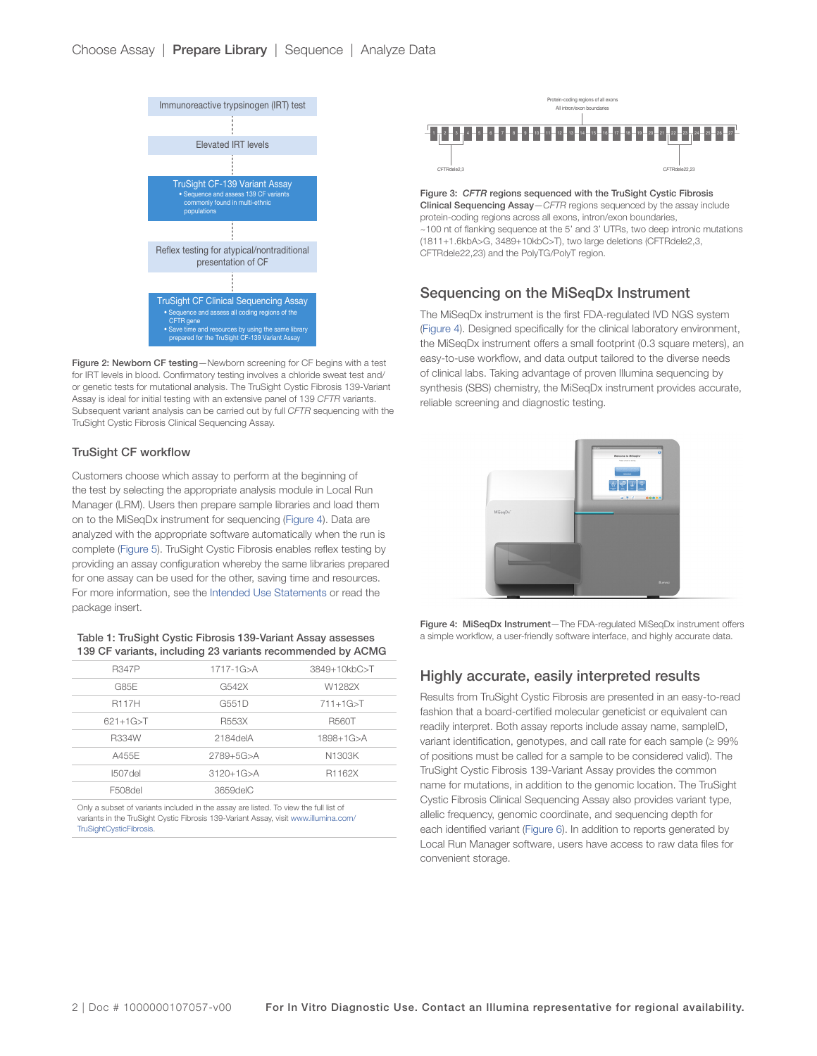<span id="page-1-0"></span>

Figure 2: Newborn CF testing—Newborn screening for CF begins with a test for IRT levels in blood. Confirmatory testing involves a chloride sweat test and/ or genetic tests for mutational analysis. The TruSight Cystic Fibrosis 139-Variant Assay is ideal for initial testing with an extensive panel of 139 *CFTR* variants. Subsequent variant analysis can be carried out by full *CFTR* sequencing with the TruSight Cystic Fibrosis Clinical Sequencing Assay.

#### TruSight CF workflow

Customers choose which assay to perform at the beginning of the test by selecting the appropriate analysis module in Local Run Manager (LRM). Users then prepare sample libraries and load them on to the MiSeqDx instrument for sequencing (Figure 4). Data are analyzed with the appropriate software automatically when the run is complete [\(Figure 5\)](#page-2-0). TruSight Cystic Fibrosis enables reflex testing by providing an assay configuration whereby the same libraries prepared for one assay can be used for the other, saving time and resources. For more information, see the [Intended Use Statements](#page-3-8) or read the package insert.

#### Table 1: TruSight Cystic Fibrosis 139-Variant Assay assesses 139 CF variants, including 23 variants recommended by ACMG

| <b>R347P</b> | $1717 - 1G > A$ | 3849+10kbC>T    |
|--------------|-----------------|-----------------|
| G85E         | G542X           | W1282X          |
| <b>R117H</b> | G551D           | $711+1G > T$    |
| $621+1G > T$ | R553X           | <b>R560T</b>    |
| <b>R334W</b> | 2184delA        | $1898 + 1G > A$ |
| A455F        | $2789 + 5G > A$ | N1303K          |
| $I507$ del   | $3120+1G > A$   | R1162X          |
| F508del      | 3659delC        |                 |

Only a subset of variants included in the assay are listed. To view the full list of variants in the TruSight Cystic Fibrosis 139-Variant Assay, visit [www.illumina.com/](http://www.illumina.com/TruSightCysticFibrosis) [TruSightCysticFibrosis.](http://www.illumina.com/TruSightCysticFibrosis)



Figure 3: *CFTR* regions sequenced with the TruSight Cystic Fibrosis Clinical Sequencing Assay—*CFTR* regions sequenced by the assay include protein-coding regions across all exons, intron/exon boundaries, ~100 nt of flanking sequence at the 5' and 3' UTRs, two deep intronic mutations (1811+1.6kbA>G, 3489+10kbC>T), two large deletions (CFTRdele2,3, CFTRdele22,23) and the PolyTG/PolyT region.

## Sequencing on the MiSeqDx Instrument

The MiSeqDx instrument is the first FDA-regulated IVD NGS system (Figure 4). Designed specifically for the clinical laboratory environment, the MiSeqDx instrument offers a small footprint (0.3 square meters), an easy-to-use workflow, and data output tailored to the diverse needs of clinical labs. Taking advantage of proven Illumina sequencing by synthesis (SBS) chemistry, the MiSeqDx instrument provides accurate, reliable screening and diagnostic testing.



Figure 4: MiSeqDx Instrument—The FDA-regulated MiSeqDx instrument offers a simple workflow, a user-friendly software interface, and highly accurate data.

## Highly accurate, easily interpreted results

Results from TruSight Cystic Fibrosis are presented in an easy-to-read fashion that a board-certified molecular geneticist or equivalent can readily interpret. Both assay reports include assay name, sampleID, variant identification, genotypes, and call rate for each sample (≥ 99% of positions must be called for a sample to be considered valid). The TruSight Cystic Fibrosis 139-Variant Assay provides the common name for mutations, in addition to the genomic location. The TruSight Cystic Fibrosis Clinical Sequencing Assay also provides variant type, allelic frequency, genomic coordinate, and sequencing depth for each identified variant ([Figure 6](#page-2-0)). In addition to reports generated by Local Run Manager software, users have access to raw data files for convenient storage.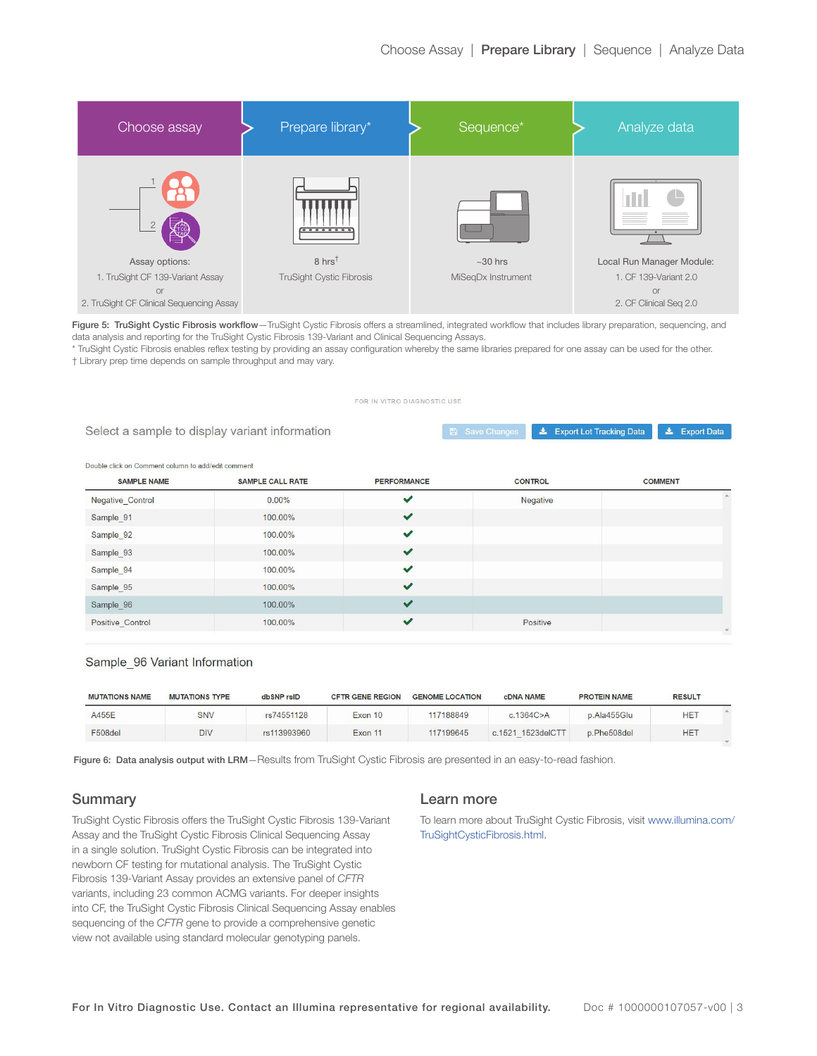<span id="page-2-0"></span>

| Choose assay                             | Prepare library*                | Sequence*          | Analyze data              |
|------------------------------------------|---------------------------------|--------------------|---------------------------|
|                                          | <del>.</del>                    |                    | <b>IL</b>                 |
| Assay options:                           | $8 \text{ hrs}^{\dagger}$       | $~10$ hrs          | Local Run Manager Module: |
| 1. TruSight CF 139-Variant Assay         | <b>TruSight Cystic Fibrosis</b> | MiSeqDx Instrument | 1. CF 139-Variant 2.0     |
| <b>or</b>                                |                                 |                    | <b>or</b>                 |
| 2. TruSight CF Clinical Sequencing Assay |                                 |                    | 2. CF Clinical Seq 2.0    |

Figure 5: TruSight Cystic Fibrosis workflow-TruSight Cystic Fibrosis offers a streamlined, integrated workflow that includes library preparation, sequencing, and data analysis and reporting for the TruSight Cystic Fibrosis 139-Variant and Clinical Sequencing Assays.

\* TruSight Cystic Fibrosis enables reflex testing by providing an assay configuration whereby the same libraries prepared for one assay can be used for the other. † Library prep time depends on sample throughput and may vary.

#### FOR IN VITRO DIAGNOSTIC USE

|  |  |  | Select a sample to display variant information |
|--|--|--|------------------------------------------------|
|  |  |  |                                                |
|  |  |  |                                                |

**Let Export Lot Tracking Data**  $\triangle$  Export Data

#### Double click on Comment column to add/edit comment

| ✔<br>0.00%<br>Negative<br>Negative Control<br>$\checkmark$<br>Sample 91<br>100.00%<br>$\checkmark$<br>Sample 92<br>100.00%<br>$\checkmark$<br>Sample_93<br>100.00% | <b>SAMPLE NAME</b> | <b>SAMPLE CALL RATE</b> | <b>PERFORMANCE</b> | <b>CONTROL</b> | <b>COMMENT</b> |
|--------------------------------------------------------------------------------------------------------------------------------------------------------------------|--------------------|-------------------------|--------------------|----------------|----------------|
|                                                                                                                                                                    |                    |                         |                    |                |                |
|                                                                                                                                                                    |                    |                         |                    |                |                |
|                                                                                                                                                                    |                    |                         |                    |                |                |
|                                                                                                                                                                    |                    |                         |                    |                |                |
| $\checkmark$<br>Sample 94<br>100.00%                                                                                                                               |                    |                         |                    |                |                |
| $\checkmark$<br>Sample_95<br>100.00%                                                                                                                               |                    |                         |                    |                |                |
| $\checkmark$<br>Sample 96<br>100.00%                                                                                                                               |                    |                         |                    |                |                |
| $\checkmark$<br>Positive<br>Positive Control<br>100.00%                                                                                                            |                    |                         |                    |                | $\mathbf{v}$   |

#### Sample 96 Variant Information

| <b>MUTATIONS NAME</b> | <b>MUTATIONS TYPE</b> | dbSNP rsID  | <b>CFTR GENE REGION</b> | <b>GENOME LOCATION</b> | <b>CDNA NAME</b>  | <b>PROTEIN NAME</b> | <b>RESULT</b> |  |
|-----------------------|-----------------------|-------------|-------------------------|------------------------|-------------------|---------------------|---------------|--|
| A455E                 | <b>SNV</b>            | rs74551128  | Exon 10                 | 117188849              | c.1364C > A       | p.Ala455Glu         | <b>HET</b>    |  |
| F508del               | <b>DIV</b>            | rs113993960 | Exon 11                 | 117199645              | c.1521 1523delCTT | p.Phe508del         | <b>HET</b>    |  |

Figure 6: Data analysis output with LRM-Results from TruSight Cystic Fibrosis are presented in an easy-to-read fashion.

## **Summary**

TruSight Cystic Fibrosis offers the TruSight Cystic Fibrosis 139-Variant Assay and the TruSight Cystic Fibrosis Clinical Sequencing Assay in a single solution. TruSight Cystic Fibrosis can be integrated into newborn CF testing for mutational analysis. The TruSight Cystic Fibrosis 139-Variant Assay provides an extensive panel of *CFTR* variants, including 23 common ACMG variants. For deeper insights into CF, the TruSight Cystic Fibrosis Clinical Sequencing Assay enables sequencing of the *CFTR* gene to provide a comprehensive genetic view not available using standard molecular genotyping panels.

#### Learn more

To learn more about TruSight Cystic Fibrosis, visit [www.illumina.com/](https://www.illumina.com/TruSightCysticFibrosis) [TruSightCysticFibrosis.html.](https://www.illumina.com/TruSightCysticFibrosis)